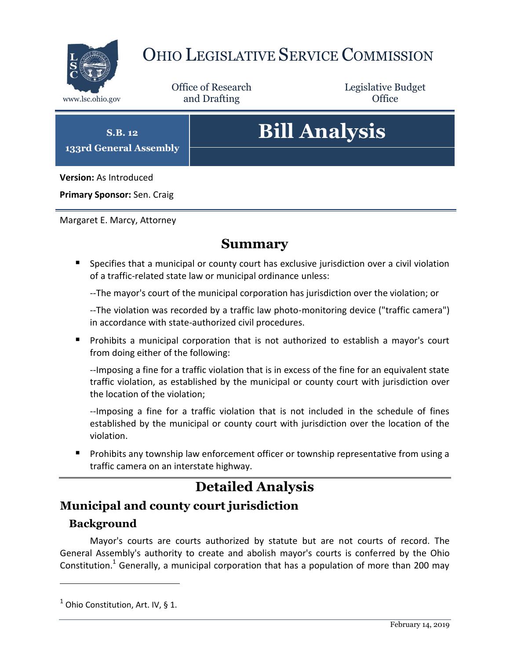

# OHIO LEGISLATIVE SERVICE COMMISSION

Office of Research www.lsc.ohio.gov and Drafting Control Control of Control Control Office

Legislative Budget

**S.B. 12 133rd General Assembly**

# **Bill Analysis**

**Version:** As Introduced

**Primary Sponsor:** Sen. Craig

Margaret E. Marcy, Attorney

### **Summary**

 Specifies that a municipal or county court has exclusive jurisdiction over a civil violation of a traffic-related state law or municipal ordinance unless:

--The mayor's court of the municipal corporation has jurisdiction over the violation; or

--The violation was recorded by a traffic law photo-monitoring device ("traffic camera") in accordance with state-authorized civil procedures.

**Prohibits a municipal corporation that is not authorized to establish a mayor's court** from doing either of the following:

--Imposing a fine for a traffic violation that is in excess of the fine for an equivalent state traffic violation, as established by the municipal or county court with jurisdiction over the location of the violation;

--Imposing a fine for a traffic violation that is not included in the schedule of fines established by the municipal or county court with jurisdiction over the location of the violation.

**Prohibits any township law enforcement officer or township representative from using a** traffic camera on an interstate highway.

## **Detailed Analysis**

## **Municipal and county court jurisdiction**

#### **Background**

 $\overline{a}$ 

Mayor's courts are courts authorized by statute but are not courts of record. The General Assembly's authority to create and abolish mayor's courts is conferred by the Ohio Constitution.<sup>1</sup> Generally, a municipal corporation that has a population of more than 200 may

 $^1$  Ohio Constitution, Art. IV, § 1.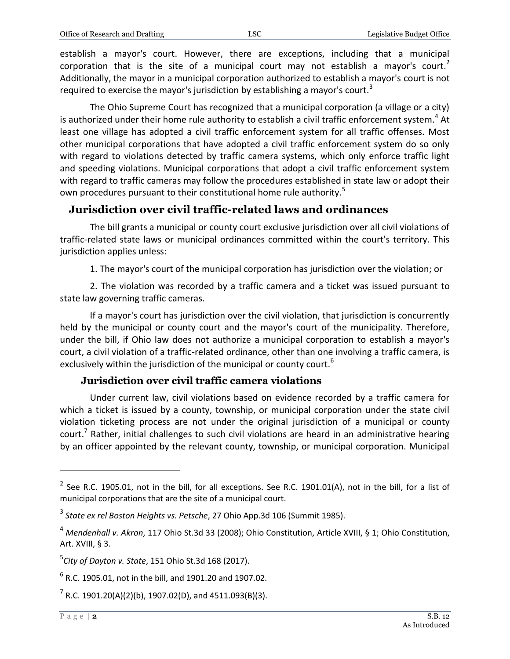establish a mayor's court. However, there are exceptions, including that a municipal corporation that is the site of a municipal court may not establish a mayor's court.<sup>2</sup> Additionally, the mayor in a municipal corporation authorized to establish a mayor's court is not required to exercise the mayor's jurisdiction by establishing a mayor's court.<sup>3</sup>

The Ohio Supreme Court has recognized that a municipal corporation (a village or a city) is authorized under their home rule authority to establish a civil traffic enforcement system.<sup>4</sup> At least one village has adopted a civil traffic enforcement system for all traffic offenses. Most other municipal corporations that have adopted a civil traffic enforcement system do so only with regard to violations detected by traffic camera systems, which only enforce traffic light and speeding violations. Municipal corporations that adopt a civil traffic enforcement system with regard to traffic cameras may follow the procedures established in state law or adopt their own procedures pursuant to their constitutional home rule authority.<sup>5</sup>

#### **Jurisdiction over civil traffic-related laws and ordinances**

The bill grants a municipal or county court exclusive jurisdiction over all civil violations of traffic-related state laws or municipal ordinances committed within the court's territory. This jurisdiction applies unless:

1. The mayor's court of the municipal corporation has jurisdiction over the violation; or

2. The violation was recorded by a traffic camera and a ticket was issued pursuant to state law governing traffic cameras.

If a mayor's court has jurisdiction over the civil violation, that jurisdiction is concurrently held by the municipal or county court and the mayor's court of the municipality. Therefore, under the bill, if Ohio law does not authorize a municipal corporation to establish a mayor's court, a civil violation of a traffic-related ordinance, other than one involving a traffic camera, is exclusively within the jurisdiction of the municipal or county court.<sup>6</sup>

#### **Jurisdiction over civil traffic camera violations**

Under current law, civil violations based on evidence recorded by a traffic camera for which a ticket is issued by a county, township, or municipal corporation under the state civil violation ticketing process are not under the original jurisdiction of a municipal or county court.<sup>7</sup> Rather, initial challenges to such civil violations are heard in an administrative hearing by an officer appointed by the relevant county, township, or municipal corporation. Municipal

 $\overline{a}$ 

 $^2$  See R.C. 1905.01, not in the bill, for all exceptions. See R.C. 1901.01(A), not in the bill, for a list of municipal corporations that are the site of a municipal court.

<sup>3</sup> *State ex rel Boston Heights vs. Petsche*, 27 Ohio App.3d 106 (Summit 1985).

<sup>4</sup> *Mendenhall v. Akron*, 117 Ohio St.3d 33 (2008); Ohio Constitution, Article XVIII, § 1; Ohio Constitution, Art. XVIII, § 3.

<sup>5</sup> *City of Dayton v. State*, 151 Ohio St.3d 168 (2017).

 $<sup>6</sup>$  R.C. 1905.01, not in the bill, and 1901.20 and 1907.02.</sup>

 $^{7}$  R.C. 1901.20(A)(2)(b), 1907.02(D), and 4511.093(B)(3).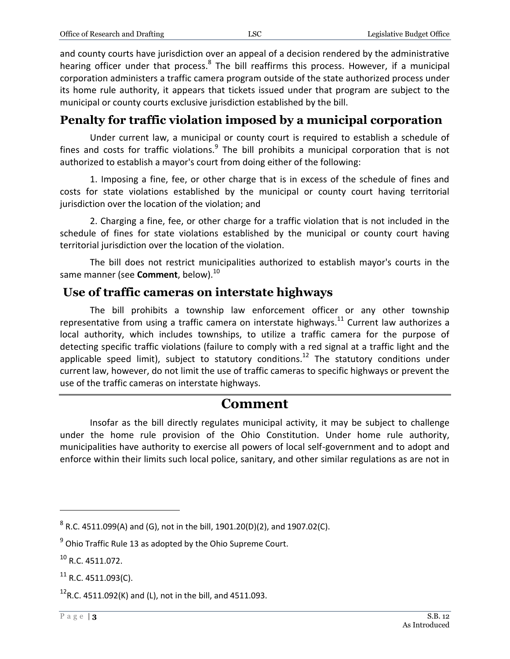and county courts have jurisdiction over an appeal of a decision rendered by the administrative hearing officer under that process.<sup>8</sup> The bill reaffirms this process. However, if a municipal corporation administers a traffic camera program outside of the state authorized process under its home rule authority, it appears that tickets issued under that program are subject to the municipal or county courts exclusive jurisdiction established by the bill.

#### **Penalty for traffic violation imposed by a municipal corporation**

Under current law, a municipal or county court is required to establish a schedule of fines and costs for traffic violations.<sup>9</sup> The bill prohibits a municipal corporation that is not authorized to establish a mayor's court from doing either of the following:

1. Imposing a fine, fee, or other charge that is in excess of the schedule of fines and costs for state violations established by the municipal or county court having territorial jurisdiction over the location of the violation; and

2. Charging a fine, fee, or other charge for a traffic violation that is not included in the schedule of fines for state violations established by the municipal or county court having territorial jurisdiction over the location of the violation.

The bill does not restrict municipalities authorized to establish mayor's courts in the same manner (see **Comment**, below).<sup>10</sup>

#### **Use of traffic cameras on interstate highways**

The bill prohibits a township law enforcement officer or any other township representative from using a traffic camera on interstate highways.<sup>11</sup> Current law authorizes a local authority, which includes townships, to utilize a traffic camera for the purpose of detecting specific traffic violations (failure to comply with a red signal at a traffic light and the applicable speed limit), subject to statutory conditions.<sup>12</sup> The statutory conditions under current law, however, do not limit the use of traffic cameras to specific highways or prevent the use of the traffic cameras on interstate highways.

#### **Comment**

Insofar as the bill directly regulates municipal activity, it may be subject to challenge under the home rule provision of the Ohio Constitution. Under home rule authority, municipalities have authority to exercise all powers of local self-government and to adopt and enforce within their limits such local police, sanitary, and other similar regulations as are not in

 $\overline{a}$ 

 $^8$  R.C. 4511.099(A) and (G), not in the bill, 1901.20(D)(2), and 1907.02(C).

 $^{9}$  Ohio Traffic Rule 13 as adopted by the Ohio Supreme Court.

<sup>10</sup> R.C. 4511.072.

 $11$  R.C. 4511.093(C).

 $^{12}$ R.C. 4511.092(K) and (L), not in the bill, and 4511.093.